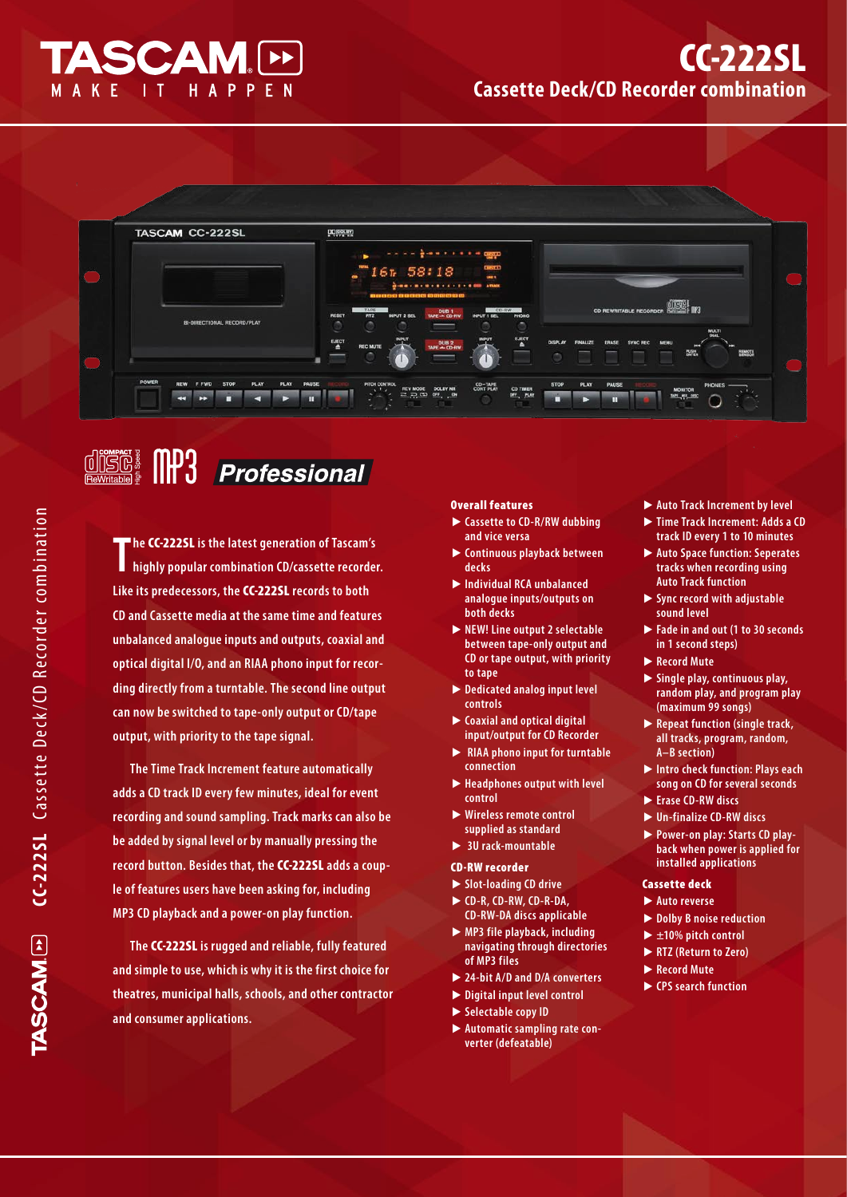

# CC-222SL **Cassette Deck/CD Recorder combination**



### $\fbox{colim}{\mathop{\boxbox{minmin}}\limits_{\mathop{\mathbf{ReWritab}}\limits^{\text{sub}}}\ {\mathop{\text{min}}\limits_{\mathop{\mathbf{F}}} \ \ } \ \ \fbox{colim}{\mathop{\text{min}}\limits_{\mathop{\mathbf{F}}} \ \ }$ Professional

**T he** CC-222SL **is the latest generation of Tascam's highly popular combination CD/cassette recorder. Like its predecessors, the** CC-222SL **records to both CD and Cassette media at the same time and features unbalanced analogue inputs and outputs, coaxial and optical digital I/O, and an RIAA phono input for recording directly from a turntable. The second line output can now be switched to tape-only output or CD/tape output, with priority to the tape signal.** 

**The Time Track Increment feature automatically adds a CD track ID every few minutes, ideal for event recording and sound sampling. Track marks can also be be added by signal level or by manually pressing the record button. Besides that, the** CC-222SL **adds a couple of features users have been asking for, including MP3 CD playback and a power-on play function.**

**The** CC-222SL **is rugged and reliable, fully featured and simple to use, which is why it is the first choice for theatres, municipal halls, schools, and other contractor and consumer applications.**

#### Overall features

- **Cassette to CD-R/RW dubbing**  t **and vice versa**
- **Continuous playback between**  t **decks**
- **Individual RCA unbalanced**  t **analogue inputs/outputs on both decks**
- ▶ NEW! Line output 2 selectable **between tape-only output and CD or tape output, with priority to tape**
- ▶ Dedicated analog input level **controls**
- **Coaxial and optical digital**  t **input/output for CD Recorder**
- ▶ RIAA phono input for turntable **connection**
- ▶ Headphones output with level **control**
- **Wireless remote control**  t **supplied as standard**
- ▶ 3U rack-mountable
- CD-RW recorder
- ▶ Slot-loading CD drive **CD-R, CD-RW, CD-R-DA,**  t **CD-RW-DA discs applicable**
- ▶ MP3 file playback, including **navigating through directories of MP3 files**
- ▶ 24-bit A/D and D/A converters
- ▶ Digital input level control
- ▶ Selectable copy ID
- **Automatic sampling rate con-**t**verter (defeatable)**
- ▶ Auto Track Increment by level
- ▶ Time Track Increment: Adds a CD **track ID every 1 to 10 minutes**
- ▶ Auto Space function: Seperates **tracks when recording using Auto Track function**
- **Sync record with adjustable**  t **sound level**
- **Fade in and out (1 to 30 seconds**  t **in 1 second steps)**
- ▶ Record Mute
- **Single play, continuous play,**  t **random play, and program play (maximum 99 songs)**
- ▶ Repeat function (single track, **all tracks, program, random, A–B section)**
- ▶ Intro check function: Plays each **song on CD for several seconds**
- ► Erase CD-RW discs
- ▶ Un-finalize CD-RW discs
- **Power-on play: Starts CD play-**t **back when power is applied for installed applications**

#### Cassette deck

- ▶ Auto reverse
- ▶ Dolby **B** noise reduction
- ▶ ±10% pitch control
- ▶ RTZ (Return to Zero)
- ▶ Record Mute
- ▶ CPS search function